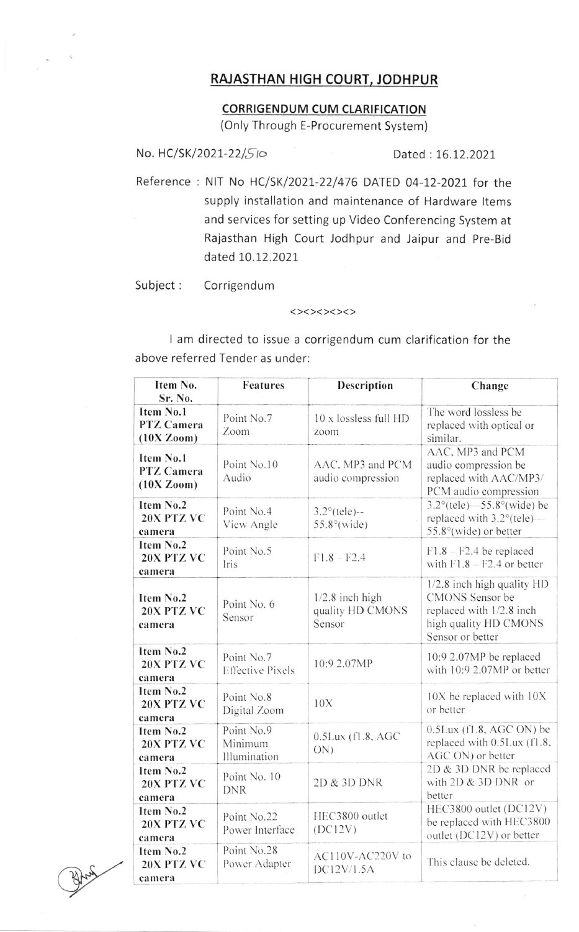## RAJASTHAN HIGH COURT, JODHPUR

## **CORRIGENDUM CUM CLARIFICATION**

(Only Through E-Procurement System)

No. HC/SK/2021-22/510

Dated: 16.12.2021

Reference : NIT No HC/SK/2021-22/476 DATED 04-12-2021 for the supply installation and maintenance of Hardware Items and services for setting up Video Conferencing System at Rajasthan High Court Jodhpur and Jaipur and Pre-Bid dated 10.12.2021

Subject: Corrigendum

## <><><><>

I am directed to issue a corrigendum cum clarification for the above referred Tender as under:

| Item No.<br>Sr. No.                   | <b>Features</b>                       | Description                                     | Change                                                                                                                 |
|---------------------------------------|---------------------------------------|-------------------------------------------------|------------------------------------------------------------------------------------------------------------------------|
| Item No.1<br>PTZ Camera<br>(10X Zoom) | Point No.7<br>Zoom                    | 10 x lossless full HD<br>zoom                   | The word lossless be<br>replaced with optical or<br>similar.                                                           |
| Item No.1<br>PTZ Camera<br>(10X Zoom) | Point No.10<br>Audio                  | AAC. MP3 and PCM<br>audio compression           | AAC, MP3 and PCM<br>audio compression be<br>replaced with AAC/MP3/<br>PCM audio compression                            |
| Item No.2<br>20X PTZ VC<br>camera     | Point No.4<br>View Angle              | $3.2^{\circ}$ (tele)--<br>$55.8^{\circ}$ (wide) | $3.2^{\circ}$ (tele) -55.8° (wide) be<br>replaced with $3.2^{\circ}$ (tele)—<br>$55.8^{\circ}$ (wide) or better        |
| Item No.2<br>20X PTZ VC<br>camera     | Point No.5<br>Iris                    | $F1.8 - F2.4$                                   | $F1.8 - F2.4$ be replaced<br>with $F1.8 - F2.4$ or better                                                              |
| Item No.2<br>20X PTZ VC<br>camera     | Point No. 6<br>Sensor                 | $1/2.8$ inch high<br>quality HD CMONS<br>Sensor | 1/2.8 inch high quality HD<br>CMONS Sensor be<br>replaced with 1/2.8 inch<br>high quality HD CMONS<br>Sensor or better |
| Item No.2<br>20X PTZ VC<br>camera     | Point No.7<br><b>Effective Pixels</b> | 10:9 2.07MP                                     | 10:9 2.07MP be replaced<br>with 10:9 2.07MP or better                                                                  |
| Item No.2<br>20X PTZ VC<br>camera     | Point No.8<br>Digital Zoom            | 10X                                             | 10X be replaced with 10X<br>or better                                                                                  |
| Item No.2<br>20X PTZ VC<br>camera     | Point No.9<br>Minimum<br>Illumination | $0.5$ Lux $(f1.8, AGC)$<br>$ON$ )               | $0.5$ Lux (f1.8, AGC ON) be<br>replaced with 0.5Lux (f1.8,<br>AGC ON) or better                                        |
| Item No.2<br>20X PTZ VC<br>camera     | Point No. 10<br><b>DNR</b>            | 2D & 3D DNR                                     | 2D & 3D DNR be replaced<br>with $2D & 3D$ DNR or<br>better                                                             |
| Item No.2<br>20X PTZ VC<br>camera     | Point No.22<br>Power Interface        | HEC3800 outlet<br>(DC12V)                       | HEC3800 outlet (DC12V)<br>be replaced with HEC3800<br>outlet (DC12V) or better                                         |
| Item No.2<br>20X PTZ VC<br>camera     | Point No.28<br>Power Adapter          | AC110V-AC220V to<br>DC12V/1.5A                  | This clause be deleted.                                                                                                |